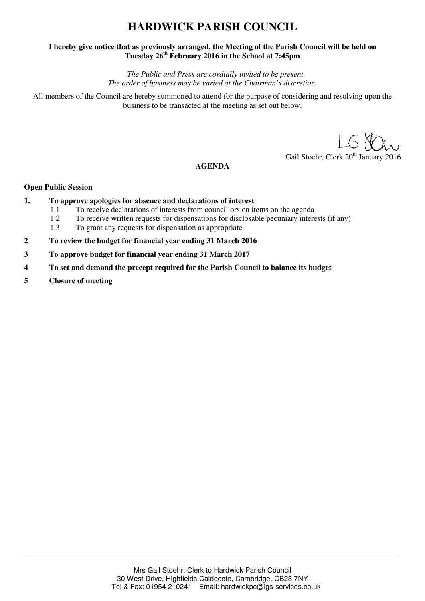# **HARDWICK PARISH COUNCIL**

## **I hereby give notice that as previously arranged, the Meeting of the Parish Council will be held on Tuesday 26th February 2016 in the School at 7:45pm**

*The Public and Press are cordially invited to be present. The order of business may be varied at the Chairman's discretion.* 

All members of the Council are hereby summoned to attend for the purpose of considering and resolving upon the business to be transacted at the meeting as set out below.

Gail Stoehr, Clerk 20<sup>th</sup> January 2016

## **AGENDA**

### **Open Public Session**

- **1. To approve apologies for absence and declarations of interest** 
	- 1.1 To receive declarations of interests from councillors on items on the agenda
	- 1.2 To receive written requests for dispensations for disclosable pecuniary interests (if any)
	- 1.3 To grant any requests for dispensation as appropriate
- **2 To review the budget for financial year ending 31 March 2016**
- **3 To approve budget for financial year ending 31 March 2017**
- **4 To set and demand the precept required for the Parish Council to balance its budget**
- **5 Closure of meeting**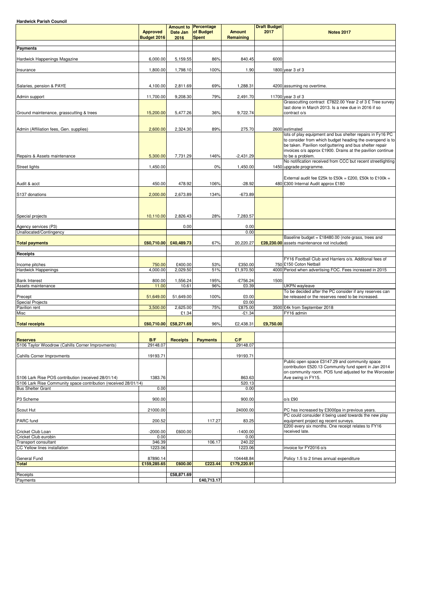**Hardwick Parish Council**

|                                                                     | <b>Approved</b><br>Budget 2016 | Date Jan<br>2016      | <b>Amount to Percentage</b><br>of Budget<br>Spent | <b>Amount</b><br>Remaining | <b>Draft Budget</b><br>2017 | <b>Notes 2017</b>                                                                                                                                                                                       |
|---------------------------------------------------------------------|--------------------------------|-----------------------|---------------------------------------------------|----------------------------|-----------------------------|---------------------------------------------------------------------------------------------------------------------------------------------------------------------------------------------------------|
| <b>Payments</b>                                                     |                                |                       |                                                   |                            |                             |                                                                                                                                                                                                         |
| Hardwick Happenings Magazine                                        | 6.000.00                       | 5,159.55              | 86%                                               | 840.45                     | 6000                        |                                                                                                                                                                                                         |
| Insurance                                                           | 1,800.00                       | 1,798.10              | 100%                                              | 1.90                       |                             | 1800 year 3 of 3                                                                                                                                                                                        |
| Salaries, pension & PAYE                                            | 4,100.00                       | 2,811.69              | 69%                                               | 1,288.31                   |                             | 4200 assuming no overtime.                                                                                                                                                                              |
| Admin support                                                       | 11,700.00                      | 9,208.30              | 79%                                               | 2,491.70                   |                             | 11700 year 3 of 3                                                                                                                                                                                       |
| Ground maintenance, grasscutting & trees                            | 15,200.00                      | 5,477.26              | 36%                                               | 9,722.74                   |                             | Grasscutting contract £7822.00 Year 2 of 3 £ Tree survey<br>last done in March 2013. Is a new due in 2016 if so<br>contract o/s                                                                         |
| Admin (Affiliation fees, Gen. supplies)                             | 2,600.00                       | 2,324.30              | 89%                                               | 275.70                     |                             | 2600 estimated<br>lots of play equipment and bus shelter repairs in Fy16 PC                                                                                                                             |
| Repairs & Assets maintenance                                        | 5,300.00                       | 7,731.29              | 146%                                              | $-2,431.29$                |                             | to consider from which budget heading the overspend is to<br>be taken. Pavilion roof/guttering and bus shelter repair<br>invoices o/s approx £1900. Drains at the pavilion continue<br>to be a problem. |
| <b>Street lights</b>                                                | 1,450.00                       |                       | 0%                                                | 1,450.00                   |                             | No notification received from CCC but recent streetlighting<br>1450 upgrade programme.                                                                                                                  |
| Audit & acct                                                        | 450.00                         | 478.92                | 106%                                              | $-28.92$                   |                             | External audit fee £25k to £50k = £200, £50k to £100k =<br>480 £300 Internal Audit approx £180                                                                                                          |
| S137 donations                                                      | 2,000.00                       | 2,673.89              | 134%                                              | $-673.89$                  |                             |                                                                                                                                                                                                         |
| Special projects                                                    | 10,110.00                      | 2,826.43              | 28%                                               | 7,283.57                   |                             |                                                                                                                                                                                                         |
| Agency services (P3)                                                |                                | 0.00                  |                                                   | 0.00                       |                             |                                                                                                                                                                                                         |
| Unallocated/Contingency                                             |                                |                       |                                                   | 0.00                       |                             |                                                                                                                                                                                                         |
| <b>Total payments</b>                                               | £60,710.00                     | £40,489.73            | 67%                                               | 20,220.27                  |                             | Baseline budget = $£18480.00$ (note grass, trees and<br>£28,230.00 assets maintenance not included)                                                                                                     |
| <b>Receipts</b>                                                     |                                |                       |                                                   |                            |                             |                                                                                                                                                                                                         |
|                                                                     |                                |                       |                                                   |                            |                             | FY16 Football Club and Harriers o/s. Additonal fees of                                                                                                                                                  |
| Income pitches<br><b>Hardwick Happenings</b>                        | 750.00<br>4,000.00             | £400.00<br>2,029.50   | 53%<br>51%                                        | £350.00<br>£1,970.50       |                             | 750 £150 Coton Netball<br>4000 Period when advertising FOC. Fees increased in 2015                                                                                                                      |
|                                                                     |                                |                       |                                                   |                            |                             |                                                                                                                                                                                                         |
| <b>Bank Interest</b><br>Assets maintenance                          | 800.00<br>11.00                | 1,556.24<br>10.61     | 195%<br>96%                                       | $-£756.24$<br>£0.39        | 1500                        | <b>UKPN</b> wayleave                                                                                                                                                                                    |
|                                                                     |                                |                       |                                                   |                            |                             | To be decided after the PC consider if any reserves can                                                                                                                                                 |
| Precept<br><b>Special Projects</b>                                  | 51,649.00                      | 51,649.00             | 100%                                              | £0.00<br>£0.00             |                             | be released or the reserves need to be increased.                                                                                                                                                       |
| Pavilion rent                                                       | 3,500.00                       | 2,625.00              | 75%                                               | £875.00                    |                             | 3500 £4k from September 2018                                                                                                                                                                            |
| Misc                                                                |                                | £1.34                 |                                                   | $-£1.34$                   |                             | FY16 admin                                                                                                                                                                                              |
| <b>Total receipts</b>                                               |                                | £60,710.00 £58,271.69 | 96%                                               | £2,438.31                  | £9,750.00                   |                                                                                                                                                                                                         |
|                                                                     |                                |                       |                                                   |                            |                             |                                                                                                                                                                                                         |
| <b>Reserves</b><br>S106 Taylor Woodrow (Cahills Corner Improvments) | B/F<br>29148.07                | <b>Receipts</b>       | <b>Payments</b>                                   | C/F<br>29148.07            |                             |                                                                                                                                                                                                         |
| <b>Cahills Corner Improvments</b>                                   | 19193.71                       |                       |                                                   | 19193.71                   |                             |                                                                                                                                                                                                         |
| S106 Lark Rise POS contribution (received 28/01/14)                 | 1383.76                        |                       |                                                   | 863.63                     |                             | Public open space £3147.29 and community space<br>contribution £520.13 Community fund spent in Jan 2014<br>on community room. POS fund adjusted for the Worcester<br>Ave swing in FY15.                 |
| S106 Lark Rise Community space contribution (received 28/01/14)     |                                |                       |                                                   | 520.13                     |                             |                                                                                                                                                                                                         |
| <b>Bus Shelter Grant</b><br>P3 Scheme                               | 0.00<br>900.00                 |                       |                                                   | 0.00<br>900.00             |                             | o/s £90                                                                                                                                                                                                 |
| Scout Hut                                                           | 21000.00                       |                       |                                                   | 24000.00                   |                             | PC has increased by £3000pa in previous years.                                                                                                                                                          |
| PARC fund                                                           | 200.52                         |                       | 117.27                                            | 83.25                      |                             | PC could consuider it being used towards the new play<br>equipment project eg recent surveys.                                                                                                           |
| Cricket Club Loan                                                   | $-2000.00$                     | £600.00               |                                                   | $-1400.00$                 |                             | £200 every six months. One receipt relates to FY16<br>received late.                                                                                                                                    |
| Cricket Club eurobin                                                | 0.00<br>346.39                 |                       |                                                   | 0.00<br>240.22             |                             |                                                                                                                                                                                                         |
| <b>Transport consultant</b><br>CC Yellow lines installation         | 1223.06                        |                       | 106.17                                            | 1223.06                    |                             | invoice for FY2016 o/s                                                                                                                                                                                  |

| General Fund | 87890.14    |            |            | 104448.84   | Policy 1.5 to 2 times annual expenditure |
|--------------|-------------|------------|------------|-------------|------------------------------------------|
| Total        | £159,285.65 | £600.00    | £223.44    | £179,220.91 |                                          |
|              |             |            |            |             |                                          |
| Receipts     |             | £58,871.69 |            |             |                                          |
| Payments     |             |            | £40.713.17 |             |                                          |